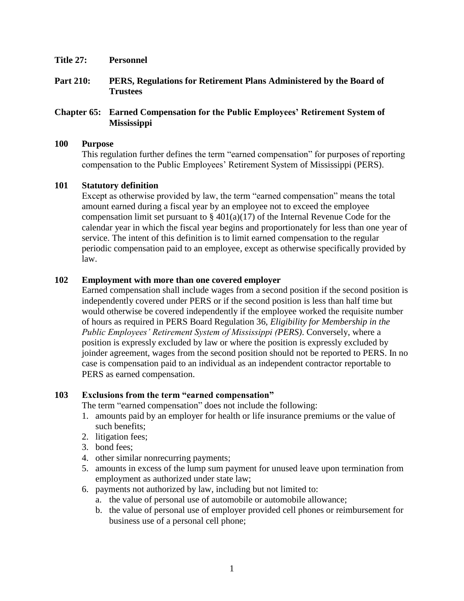- **Title 27: Personnel**
- **Part 210: PERS, Regulations for Retirement Plans Administered by the Board of Trustees**

### **Chapter 65: Earned Compensation for the Public Employees' Retirement System of Mississippi**

#### **100 Purpose**

This regulation further defines the term "earned compensation" for purposes of reporting compensation to the Public Employees' Retirement System of Mississippi (PERS).

### **101 Statutory definition**

Except as otherwise provided by law, the term "earned compensation" means the total amount earned during a fiscal year by an employee not to exceed the employee compensation limit set pursuant to  $\S 401(a)(17)$  of the Internal Revenue Code for the calendar year in which the fiscal year begins and proportionately for less than one year of service. The intent of this definition is to limit earned compensation to the regular periodic compensation paid to an employee, except as otherwise specifically provided by law.

# **102 Employment with more than one covered employer**

Earned compensation shall include wages from a second position if the second position is independently covered under PERS or if the second position is less than half time but would otherwise be covered independently if the employee worked the requisite number of hours as required in PERS Board Regulation 36, *Eligibility for Membership in the Public Employees' Retirement System of Mississippi (PERS)*. Conversely, where a position is expressly excluded by law or where the position is expressly excluded by joinder agreement, wages from the second position should not be reported to PERS. In no case is compensation paid to an individual as an independent contractor reportable to PERS as earned compensation.

### **103 Exclusions from the term "earned compensation"**

The term "earned compensation" does not include the following:

- 1. amounts paid by an employer for health or life insurance premiums or the value of such benefits;
- 2. litigation fees;
- 3. bond fees;
- 4. other similar nonrecurring payments;
- 5. amounts in excess of the lump sum payment for unused leave upon termination from employment as authorized under state law;
- 6. payments not authorized by law, including but not limited to:
	- a. the value of personal use of automobile or automobile allowance;
	- b. the value of personal use of employer provided cell phones or reimbursement for business use of a personal cell phone;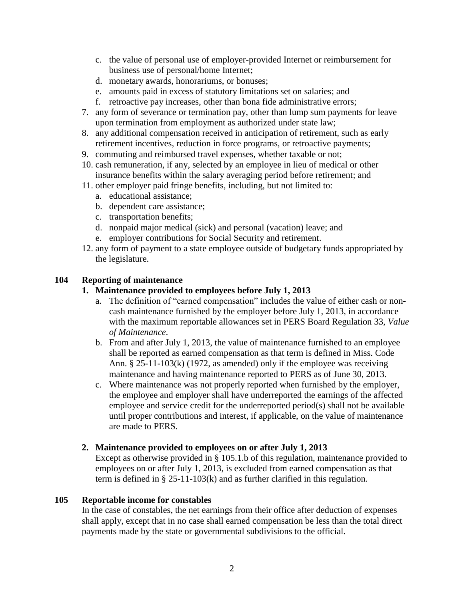- c. the value of personal use of employer-provided Internet or reimbursement for business use of personal/home Internet;
- d. monetary awards, honorariums, or bonuses;
- e. amounts paid in excess of statutory limitations set on salaries; and
- f. retroactive pay increases, other than bona fide administrative errors;
- 7. any form of severance or termination pay, other than lump sum payments for leave upon termination from employment as authorized under state law;
- 8. any additional compensation received in anticipation of retirement, such as early retirement incentives, reduction in force programs, or retroactive payments;
- 9. commuting and reimbursed travel expenses, whether taxable or not;
- 10. cash remuneration, if any, selected by an employee in lieu of medical or other insurance benefits within the salary averaging period before retirement; and
- 11. other employer paid fringe benefits, including, but not limited to:
	- a. educational assistance;
	- b. dependent care assistance;
	- c. transportation benefits;
	- d. nonpaid major medical (sick) and personal (vacation) leave; and
	- e. employer contributions for Social Security and retirement.
- 12. any form of payment to a state employee outside of budgetary funds appropriated by the legislature.

# **104 Reporting of maintenance**

# **1. Maintenance provided to employees before July 1, 2013**

- a. The definition of "earned compensation" includes the value of either cash or noncash maintenance furnished by the employer before July 1, 2013, in accordance with the maximum reportable allowances set in PERS Board Regulation 33, *Value of Maintenance*.
- b. From and after July 1, 2013, the value of maintenance furnished to an employee shall be reported as earned compensation as that term is defined in Miss. Code Ann. § 25-11-103(k) (1972, as amended) only if the employee was receiving maintenance and having maintenance reported to PERS as of June 30, 2013.
- c. Where maintenance was not properly reported when furnished by the employer, the employee and employer shall have underreported the earnings of the affected employee and service credit for the underreported period(s) shall not be available until proper contributions and interest, if applicable, on the value of maintenance are made to PERS.

### **2. Maintenance provided to employees on or after July 1, 2013**

Except as otherwise provided in § 105.1.b of this regulation, maintenance provided to employees on or after July 1, 2013, is excluded from earned compensation as that term is defined in § 25-11-103(k) and as further clarified in this regulation.

### **105 Reportable income for constables**

In the case of constables, the net earnings from their office after deduction of expenses shall apply, except that in no case shall earned compensation be less than the total direct payments made by the state or governmental subdivisions to the official.